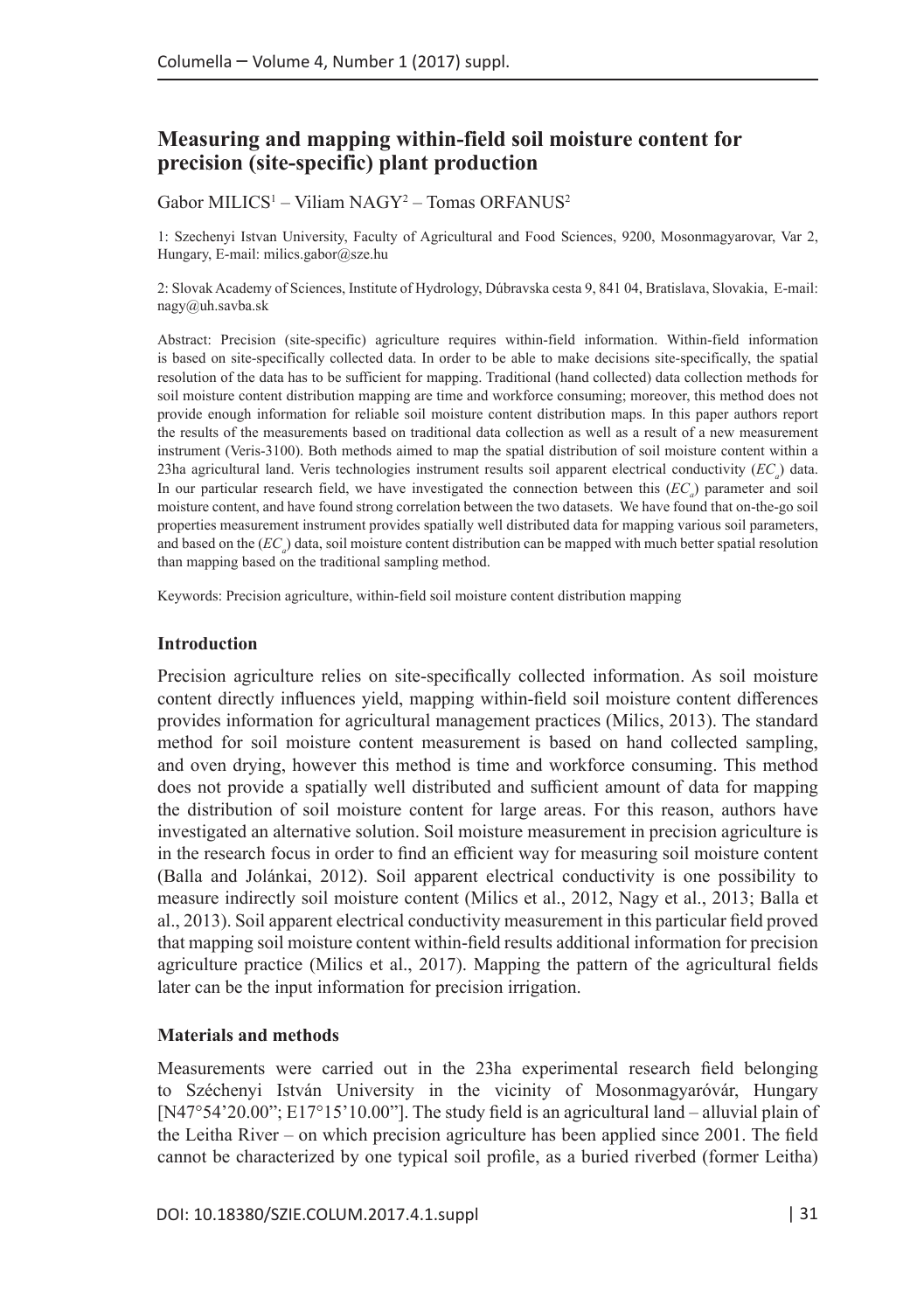# **Measuring and mapping within-field soil moisture content for precision (site-specific) plant production**

 $Gabor MILICS<sup>1</sup> – Viliam NAGY<sup>2</sup> – Tomas ORFANUS<sup>2</sup>$ 

1: Szechenyi Istvan University, Faculty of Agricultural and Food Sciences, 9200, Mosonmagyarovar, Var 2, Hungary, E-mail: [milics.gabor@sze.hu](mailto:milics.gabor@sze.hu)

2: Slovak Academy of Sciences, Institute of Hydrology, Dúbravska cesta 9, 841 04, Bratislava, Slovakia, E-mail: [nagy@uh.savba.sk](mailto:nagy@uh.savba.sk)

Abstract: Precision (site-specific) agriculture requires within-field information. Within-field information is based on site-specifically collected data. In order to be able to make decisions site-specifically, the spatial resolution of the data has to be sufficient for mapping. Traditional (hand collected) data collection methods for soil moisture content distribution mapping are time and workforce consuming; moreover, this method does not provide enough information for reliable soil moisture content distribution maps. In this paper authors report the results of the measurements based on traditional data collection as well as a result of a new measurement instrument (Veris-3100). Both methods aimed to map the spatial distribution of soil moisture content within a 23ha agricultural land. Veris technologies instrument results soil apparent electrical conductivity (*EC<sub>a</sub>*) data. In our particular research field, we have investigated the connection between this (*EC*<sub>a</sub>) parameter and soil moisture content, and have found strong correlation between the two datasets. We have found that on-the-go soil properties measurement instrument provides spatially well distributed data for mapping various soil parameters, and based on the  $(EC_a)$  data, soil moisture content distribution can be mapped with much better spatial resolution than mapping based on the traditional sampling method.

Keywords: Precision agriculture, within-field soil moisture content distribution mapping

#### **Introduction**

Precision agriculture relies on site-specifically collected information. As soil moisture content directly influences yield, mapping within-field soil moisture content differences provides information for agricultural management practices (Milics, 2013). The standard method for soil moisture content measurement is based on hand collected sampling, and oven drying, however this method is time and workforce consuming. This method does not provide a spatially well distributed and sufficient amount of data for mapping the distribution of soil moisture content for large areas. For this reason, authors have investigated an alternative solution. Soil moisture measurement in precision agriculture is in the research focus in order to find an efficient way for measuring soil moisture content (Balla and Jolánkai, 2012). Soil apparent electrical conductivity is one possibility to measure indirectly soil moisture content (Milics et al., 2012, Nagy et al., 2013; Balla et al., 2013). Soil apparent electrical conductivity measurement in this particular field proved that mapping soil moisture content within-field results additional information for precision agriculture practice (Milics et al., 2017). Mapping the pattern of the agricultural fields later can be the input information for precision irrigation.

### **Materials and methods**

Measurements were carried out in the 23ha experimental research field belonging to Széchenyi István University in the vicinity of Mosonmagyaróvár, Hungary [N47°54'20.00"; E17°15'10.00"]. The study field is an agricultural land – alluvial plain of the Leitha River – on which precision agriculture has been applied since 2001. The field cannot be characterized by one typical soil profile, as a buried riverbed (former Leitha)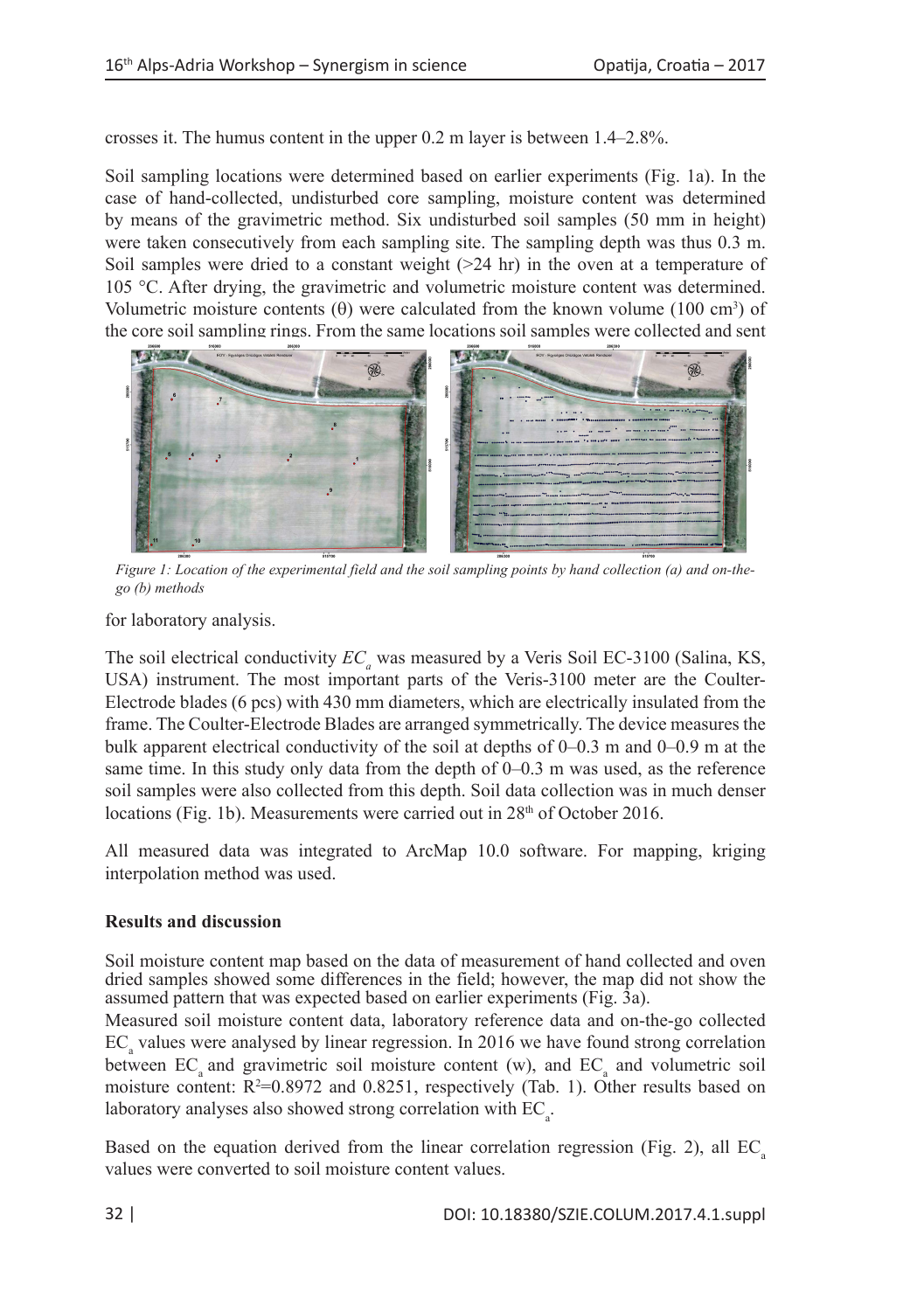crosses it. The humus content in the upper 0.2 m layer is between 1.4–2.8%.

Soil sampling locations were determined based on earlier experiments (Fig. 1a). In the case of hand-collected, undisturbed core sampling, moisture content was determined by means of the gravimetric method. Six undisturbed soil samples (50 mm in height) were taken consecutively from each sampling site. The sampling depth was thus 0.3 m. Soil samples were dried to a constant weight  $(>=24 \text{ hr})$  in the oven at a temperature of 105 °C. After drying, the gravimetric and volumetric moisture content was determined. Volumetric moisture contents  $(\theta)$  were calculated from the known volume (100 cm<sup>3</sup>) of the core soil sampling rings. From the same locations soil samples were collected and sent



*Figure 1: Location of the experimental field and the soil sampling points by hand collection (a) and on-thego (b) methods*

for laboratory analysis.

The soil electrical conductivity  $EC_a$  was measured by a Veris Soil EC-3100 (Salina, KS, USA) instrument. The most important parts of the Veris-3100 meter are the Coulter-Electrode blades (6 pcs) with 430 mm diameters, which are electrically insulated from the frame. The Coulter-Electrode Blades are arranged symmetrically. The device measures the bulk apparent electrical conductivity of the soil at depths of 0–0.3 m and 0–0.9 m at the same time. In this study only data from the depth of 0–0.3 m was used, as the reference soil samples were also collected from this depth. Soil data collection was in much denser locations (Fig. 1b). Measurements were carried out in  $28<sup>th</sup>$  of October 2016.

All measured data was integrated to ArcMap 10.0 software. For mapping, kriging interpolation method was used.

# **Results and discussion**

Soil moisture content map based on the data of measurement of hand collected and oven dried samples showed some differences in the field; however, the map did not show the assumed pattern that was expected based on earlier experiments (Fig. 3a).

Measured soil moisture content data, laboratory reference data and on-the-go collected  $EC_{\alpha}$  values were analysed by linear regression. In 2016 we have found strong correlation between  $EC<sub>a</sub>$  and gravimetric soil moisture content (w), and  $EC<sub>a</sub>$  and volumetric soil moisture content:  $R^2=0.8972$  and  $0.8251$ , respectively (Tab. 1). Other results based on laboratory analyses also showed strong correlation with  $EC_{a}$ .

Based on the equation derived from the linear correlation regression (Fig. 2), all  $EC$ values were converted to soil moisture content values.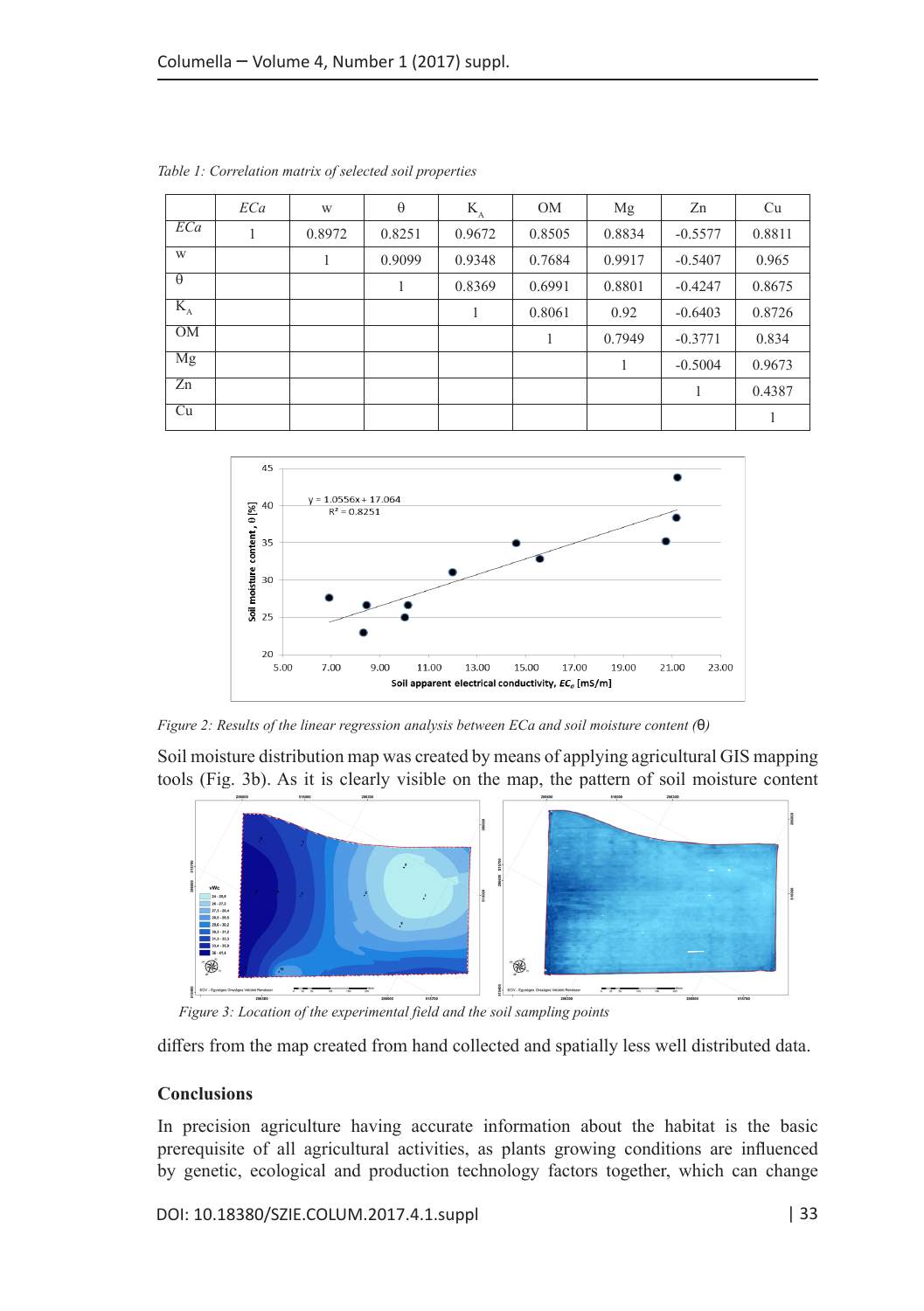|                          | ECa | W      | $\theta$ | $K_{A}$ | <b>OM</b> | Mg     | Zn        | Cu     |
|--------------------------|-----|--------|----------|---------|-----------|--------|-----------|--------|
| ECa                      |     | 0.8972 | 0.8251   | 0.9672  | 0.8505    | 0.8834 | $-0.5577$ | 0.8811 |
| W                        |     |        | 0.9099   | 0.9348  | 0.7684    | 0.9917 | $-0.5407$ | 0.965  |
| $\theta$                 |     |        | 1        | 0.8369  | 0.6991    | 0.8801 | $-0.4247$ | 0.8675 |
| $K_{\rm A}$              |     |        |          | 1       | 0.8061    | 0.92   | $-0.6403$ | 0.8726 |
| OM                       |     |        |          |         |           | 0.7949 | $-0.3771$ | 0.834  |
| Mg                       |     |        |          |         |           |        | $-0.5004$ | 0.9673 |
| Zn                       |     |        |          |         |           |        |           | 0.4387 |
| $\overline{\mathrm{Cu}}$ |     |        |          |         |           |        |           |        |

*Table 1: Correlation matrix of selected soil properties*



*Figure 2: Results of the linear regression analysis between ECa and soil moisture content (*θ*)*

Soil moisture distribution map was created by means of applying agricultural GIS mapping tools (Fig. 3b). As it is clearly visible on the map, the pattern of soil moisture content



*Figure 3: Location of the experimental field and the soil sampling points*

differs from the map created from hand collected and spatially less well distributed data.

## **Conclusions**

In precision agriculture having accurate information about the habitat is the basic prerequisite of all agricultural activities, as plants growing conditions are influenced by genetic, ecological and production technology factors together, which can change

DOI: 10.18380/SZIE.COLUM.2017.4.1.suppl | 33